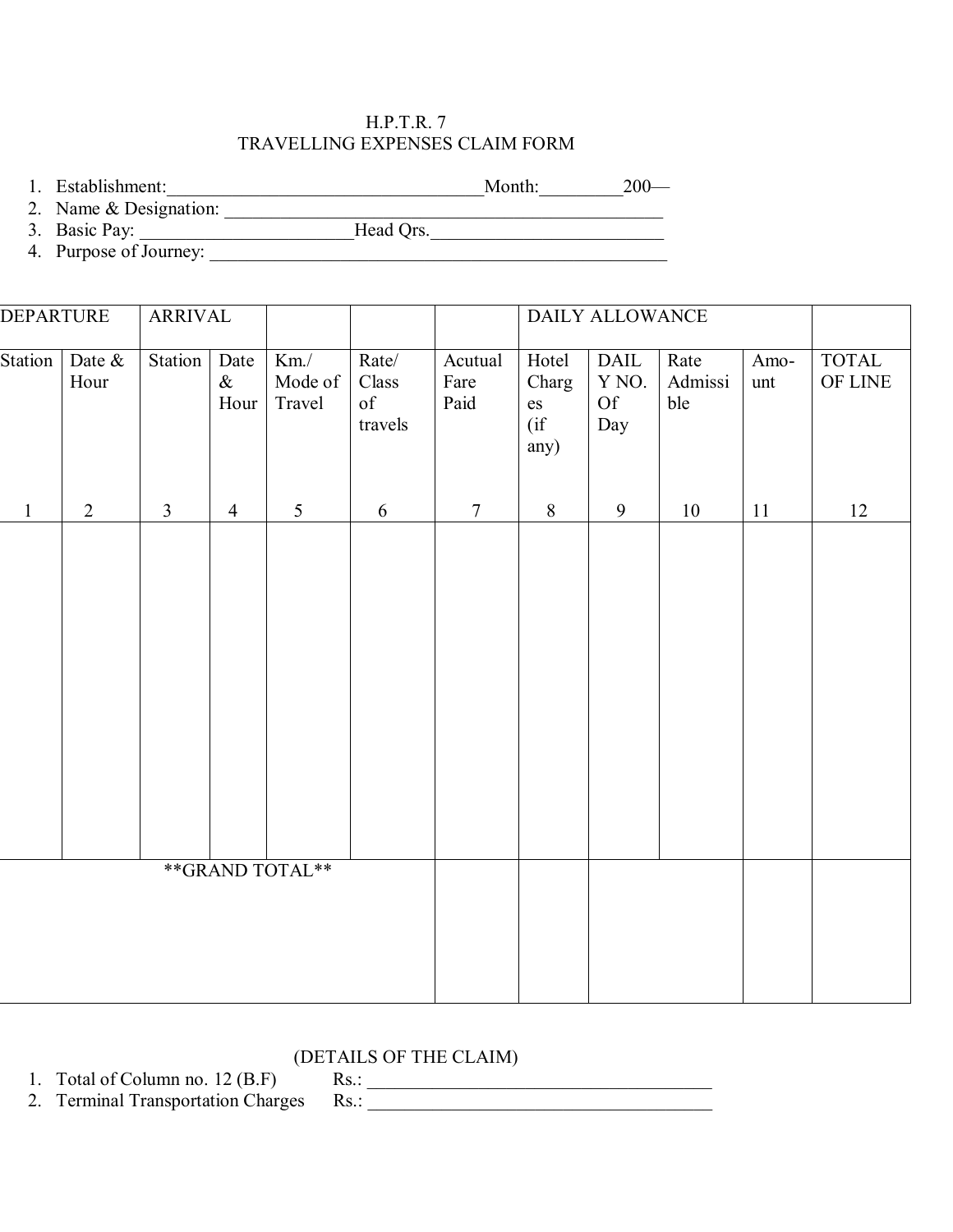## H.P.T.R. 7 TRAVELLING EXPENSES CLAIM FORM

1. Establishment: 200—

2. Name & Designation:

3. Basic Pay: \_\_\_\_\_\_\_\_\_\_\_\_\_\_\_\_\_\_\_\_\_\_\_\_\_\_\_Head Qrs.

4. Purpose of Journey:

| <b>DEPARTURE</b> |                | <b>ARRIVAL</b> |                      |                              |                                         |                         | DAILY ALLOWANCE                                               |                                              |                        |             |                                        |
|------------------|----------------|----------------|----------------------|------------------------------|-----------------------------------------|-------------------------|---------------------------------------------------------------|----------------------------------------------|------------------------|-------------|----------------------------------------|
| Station          | Date &<br>Hour | Station        | Date<br>$\&$<br>Hour | $Km$ ./<br>Mode of<br>Travel | Rate/<br>Class<br>$\delta f$<br>travels | Acutual<br>Fare<br>Paid | Hotel<br>Charg<br>$\mathop{\rm es}\nolimits$<br>(i f)<br>any) | $\mathbf{DAIL}$<br>Y NO.<br><b>Of</b><br>Day | Rate<br>Admissi<br>ble | Amo-<br>unt | <b>TOTAL</b><br>$\mathop{\rm OF}$ LINE |
| $\mathbf{1}$     | $\overline{2}$ | $\mathfrak{Z}$ | $\overline{4}$       | 5                            | 6                                       | $\tau$                  | $\,8\,$                                                       | 9                                            | 10                     | 11          | 12                                     |
|                  |                |                |                      |                              |                                         |                         |                                                               |                                              |                        |             |                                        |
|                  |                |                |                      | **GRAND TOTAL**              |                                         |                         |                                                               |                                              |                        |             |                                        |
|                  |                |                |                      |                              |                                         |                         |                                                               |                                              |                        |             |                                        |

## (DETAILS OF THE CLAIM)

1. Total of Column no. 12 (B.F)<br>
2. Terminal Transportation Charges Rs.:  $Rs.:$